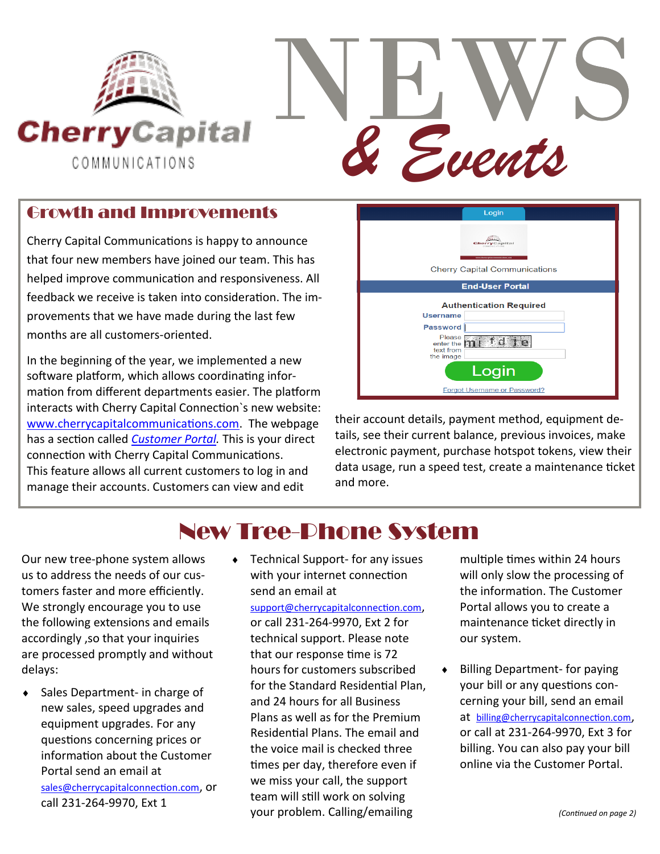

## Growth and Improvements

Cherry Capital Communications is happy to announce that four new members have joined our team. This has helped improve communication and responsiveness. All feedback we receive is taken into consideration. The improvements that we have made during the last few months are all customers-oriented.

In the beginning of the year, we implemented a new software platform, which allows coordinating information from different departments easier. The platform interacts with Cherry Capital Connection`s new website: [www.cherrycapitalcommunications.com.](http://www.cherrycapitalcommunications.com) The webpage has a section called *[Customer Portal.](https://am2.azotel.com/CustomerPortal/login.pl?operator=cherry)* This is your direct connection with Cherry Capital Communications. This feature allows all current customers to log in and manage their accounts. Customers can view and edit



their account details, payment method, equipment details, see their current balance, previous invoices, make electronic payment, purchase hotspot tokens, view their data usage, run a speed test, create a maintenance ticket and more.

## New Tree-Phone System

Our new tree-phone system allows us to address the needs of our customers faster and more efficiently. We strongly encourage you to use the following extensions and emails accordingly ,so that your inquiries are processed promptly and without delays:

- ◆ Sales Department- in charge of new sales, speed upgrades and equipment upgrades. For any questions concerning prices or information about the Customer Portal send an email at [sales@cherrycapitalconnection.com](mailto:sales@cherrycapitalconnection.com), or call 231-264-9970, Ext 1
- Technical Support- for any issues with your internet connection send an email at [support@cherrycapitalconnection.com](mailto:support@cherrycapitalconnection.com), or call 231-264-9970, Ext 2 for technical support. Please note that our response time is 72 hours for customers subscribed for the Standard Residential Plan, and 24 hours for all Business Plans as well as for the Premium Residential Plans. The email and the voice mail is checked three times per day, therefore even if we miss your call, the support team will still work on solving your problem. Calling/emailing

multiple times within 24 hours will only slow the processing of the information. The Customer Portal allows you to create a maintenance ticket directly in our system.

 Billing Department- for paying your bill or any questions concerning your bill, send an email at [billing@cherrycapitalconnection.com](mailto:billing@cherrycapitalconnection.com), or call at 231-264-9970, Ext 3 for billing. You can also pay your bill online via the Customer Portal.